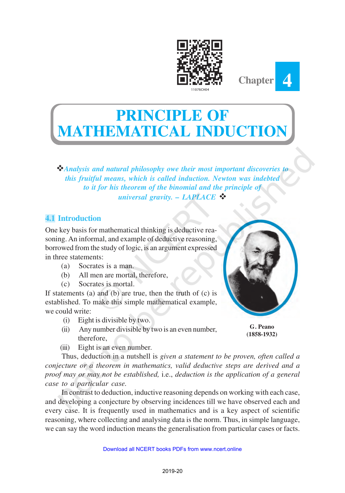



v*Analysis and natural philosophy owe their most important discoveries to this fruitful means, which is called induction. Newton was indebted to it for his theorem of the binomial and the principle of universal gravity. – LAPLACE* 

# **4.1 Introduction**

One key basis for mathematical thinking is deductive reasoning. An informal, and example of deductive reasoning, borrowed from the study of logic, is an argument expressed in three statements:

- (a) Socrates is a man.
- (b) All men are mortal, therefore,
- (c) Socrates is mortal.

If statements (a) and (b) are true, then the truth of (c) is established. To make this simple mathematical example, we could write:

- (i) Eight is divisible by two.
- (ii) Any number divisible by two is an even number, therefore,
- (iii) Eight is an even number.

Thus, deduction in a nutshell is *given a statement to be proven, often called a conjecture or a theorem in mathematics, valid deductive steps are derived and a proof may or may not be established,* i.e., *deduction is the application of a general case to a particular case.*

In contrast to deduction, inductive reasoning depends on working with each case, and developing a conjecture by observing incidences till we have observed each and every case. It is frequently used in mathematics and is a key aspect of scientific reasoning, where collecting and analysing data is the norm. Thus, in simple language, we can say the word induction means the generalisation from particular cases or facts.



**Chapter 4**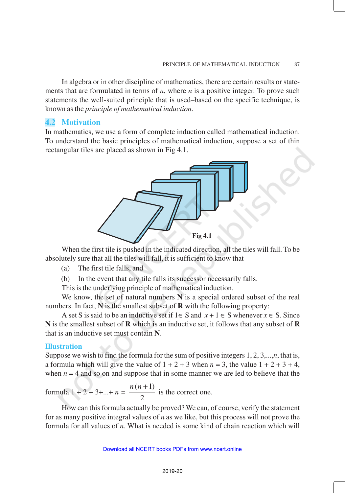In algebra or in other discipline of mathematics, there are certain results or statements that are formulated in terms of *n*, where *n* is a positive integer. To prove such statements the well-suited principle that is used–based on the specific technique, is known as the *principle of mathematical induction*.

### **4.2 Motivation**

In mathematics, we use a form of complete induction called mathematical induction. To understand the basic principles of mathematical induction, suppose a set of thin rectangular tiles are placed as shown in Fig 4.1.



When the first tile is pushed in the indicated direction, all the tiles will fall. To be absolutely sure that all the tiles will fall, it is sufficient to know that

(a) The first tile falls, and

(b) In the event that any tile falls its successor necessarily falls.

This is the underlying principle of mathematical induction.

We know, the set of natural numbers N is a special ordered subset of the real numbers. In fact, **N** is the smallest subset of **R** with the following property:

A set S is said to be an inductive set if  $1 \in S$  and  $x + 1 \in S$  whenever  $x \in S$ . Since **N** is the smallest subset of **R** which is an inductive set, it follows that any subset of **R** that is an inductive set must contain **N**.

### **Illustration**

Suppose we wish to find the formula for the sum of positive integers 1, 2, 3,...,*n*, that is, a formula which will give the value of  $1 + 2 + 3$  when  $n = 3$ , the value  $1 + 2 + 3 + 4$ , when  $n = 4$  and so on and suppose that in some manner we are led to believe that the

formula 1 + 2 + 3+...+ 
$$
n = \frac{n(n+1)}{2}
$$
 is the correct one.

How can this formula actually be proved? We can, of course, verify the statement for as many positive integral values of *n* as we like, but this process will not prove the formula for all values of *n*. What is needed is some kind of chain reaction which will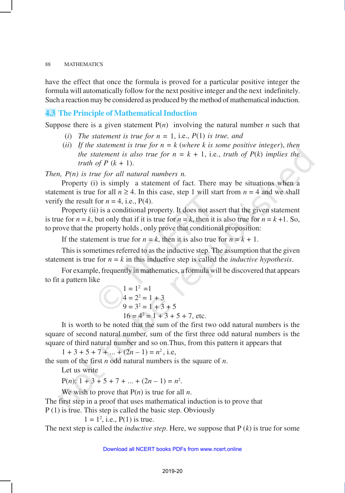have the effect that once the formula is proved for a particular positive integer the formula will automatically follow for the next positive integer and the next indefinitely. Such a reaction may be considered as produced by the method of mathematical induction.

### **4.3 The Principle of Mathematical Induction**

Suppose there is a given statement  $P(n)$  involving the natural number *n* such that

- (*i*) *The statement is true for*  $n = 1$ *, i.e.,*  $P(1)$  *is true, and*
- (*ii*) *If the statement is true for n = k* (*where k is some positive integer*), *then the statement is also true for*  $n = k + 1$ *, i.e., truth of*  $P(k)$  *implies the truth of P*  $(k + 1)$ .

*Then, P(n) is true for all natural numbers n.*

Property (i) is simply a statement of fact. There may be situations when a statement is true for all  $n \ge 4$ . In this case, step 1 will start from  $n = 4$  and we shall verify the result for  $n = 4$ , i.e.,  $P(4)$ .

Property (ii) is a conditional property. It does not assert that the given statement is true for  $n = k$ , but only that if it is true for  $n = k$ , then it is also true for  $n = k + 1$ . So, to prove that the property holds , only prove that conditional proposition:

If the statement is true for  $n = k$ , then it is also true for  $n = k + 1$ .

This is sometimes referred to as the inductive step. The assumption that the given statement is true for  $n = k$  in this inductive step is called the *inductive hypothesis*.

For example, frequently in mathematics, a formula will be discovered that appears to fit a pattern like

$$
1 = 12 = 1
$$
  
\n
$$
4 = 22 = 1 + 3
$$
  
\n
$$
9 = 32 = 1 + 3 + 5
$$
  
\n
$$
16 = 42 = 1 + 3 + 5 + 7
$$
, etc.

It is worth to be noted that the sum of the first two odd natural numbers is the square of second natural number, sum of the first three odd natural numbers is the square of third natural number and so on.Thus, from this pattern it appears that

 $1 + 3 + 5 + 7 + \dots + (2n - 1) = n^2$ , i.e,

the sum of the first *n* odd natural numbers is the square of *n*.

Let us write

 $P(n)$ :  $1 + 3 + 5 + 7 + ... + (2n - 1) = n^2$ .

We wish to prove that  $P(n)$  is true for all *n*.

The first step in a proof that uses mathematical induction is to prove that P (1) is true. This step is called the basic step. Obviously

 $1 = 1^2$ , i.e.,  $P(1)$  is true.

The next step is called the *inductive step*. Here, we suppose that P (*k*) is true for some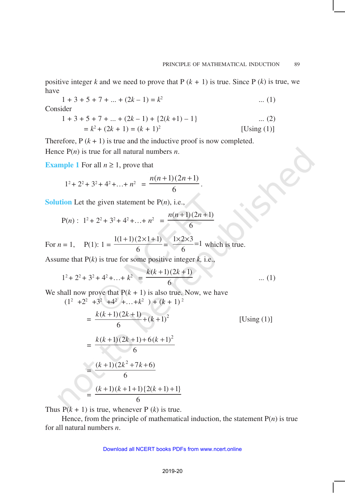positive integer *k* and we need to prove that  $P (k + 1)$  is true. Since  $P (k)$  is true, we have

$$
1 + 3 + 5 + 7 + \dots + (2k - 1) = k^2 \qquad \dots (1)
$$

Consider

$$
1 + 3 + 5 + 7 + \dots + (2k - 1) + \{2(k + 1) - 1\} \qquad \dots (2)
$$
  
=  $k^2 + (2k + 1) = (k + 1)^2$  [Using (1)]

.

Therefore,  $P(k + 1)$  is true and the inductive proof is now completed. Hence P(*n*) is true for all natural numbers *n*.

**Example 1** For all  $n \geq 1$ , prove that

$$
1^2 + 2^2 + 3^2 + 4^2 + \dots + n^2 = \frac{n(n+1)(2n+1)}{6}
$$

**Solution** Let the given statement be  $P(n)$ , i.e.,

$$
P(n): 12 + 22 + 32 + 42 + ... + n2 = \frac{n(n+1)(2n+1)}{6}
$$

For 
$$
n = 1
$$
,  $P(1): 1 = \frac{1(1+1)(2 \times 1 + 1)}{6} = \frac{1 \times 2 \times 3}{6} = 1$  which is true.

Assume that P(*k*) is true for some positive integer *k,* i.e.,

$$
1^{2} + 2^{2} + 3^{2} + 4^{2} + \dots + k^{2} = \frac{k(k+1)(2k+1)}{6}
$$
 ... (1)

We shall now prove that  $P(k + 1)$  is also true. Now, we have  $\sqrt{2}$ 

$$
(12 +22 +32 +42 +...+k2) + (k + 1)2
$$
  
= 
$$
\frac{k(k+1)(2k+1)}{6} + (k+1)2
$$
 [Using (1)]  
= 
$$
\frac{k(k+1)(2k+1) + 6(k+1)2}{6}
$$
  
= 
$$
\frac{(k+1)(2k2+7k+6)}{6}
$$
  
= 
$$
\frac{(k+1)(k+1+1){2(k+1)+1}}{6}
$$

Thus  $P(k + 1)$  is true, whenever P (*k*) is true.

Hence, from the principle of mathematical induction, the statement  $P(n)$  is true for all natural numbers *n*.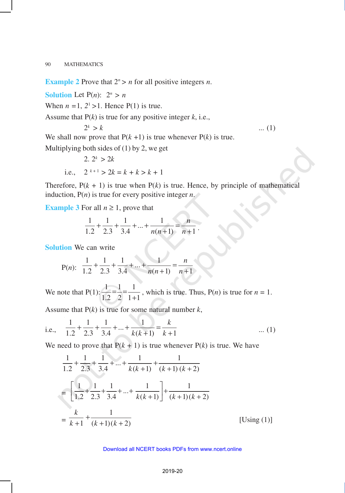**Example 2** Prove that  $2^n > n$  for all positive integers *n*.

**Solution** Let  $P(n)$ :  $2^n > n$ 

When  $n = 1$ ,  $2<sup>1</sup> > 1$ . Hence P(1) is true.

Assume that P(*k*) is true for any positive integer *k*, i.e.,

$$
2^k > k \tag{1}
$$

We shall now prove that  $P(k + 1)$  is true whenever  $P(k)$  is true.

Multiplying both sides of  $(1)$  by 2, we get

2. 
$$
2^k > 2k
$$
  
i.e.,  $2^{k+1} > 2k = k + k > k + 1$ 

Therefore,  $P(k + 1)$  is true when  $P(k)$  is true. Hence, by principle of mathematical induction, P(*n*) is true for every positive integer *n*.

**Example 3** For all  $n \ge 1$ , prove that

$$
\frac{1}{1.2} + \frac{1}{2.3} + \frac{1}{3.4} + \dots + \frac{1}{n(n+1)} = \frac{n}{n+1}.
$$

**Solution** We can write

P(n): 
$$
\frac{1}{1.2} + \frac{1}{2.3} + \frac{1}{3.4} + \dots + \frac{1}{n(n+1)} = \frac{n}{n+1}
$$

We note that  $P(1): \frac{1}{1} = \frac{1}{1} = \frac{1}{1}$  $1.2 \quad 2 \quad 1+1$  $= -\frac{1}{2}$  $\frac{1}{x+1}$ , which is true. Thus, P(*n*) is true for *n* = 1.

Assume that  $P(k)$  is true for some natural number  $k$ ,

i.e., 
$$
\frac{1}{1.2} + \frac{1}{2.3} + \frac{1}{3.4} + \dots + \frac{1}{k(k+1)} = \frac{k}{k+1}
$$
 ... (1)

We need to prove that  $P(k + 1)$  is true whenever  $P(k)$  is true. We have

$$
\frac{1}{1.2} + \frac{1}{2.3} + \frac{1}{3.4} + \dots + \frac{1}{k(k+1)} + \frac{1}{(k+1)(k+2)}
$$
\n
$$
= \left[ \frac{1}{1.2} + \frac{1}{2.3} + \frac{1}{3.4} + \dots + \frac{1}{k(k+1)} \right] + \frac{1}{(k+1)(k+2)}
$$
\n
$$
= \frac{k}{k+1} + \frac{1}{(k+1)(k+2)} \qquad \qquad \text{[Using (1)]}
$$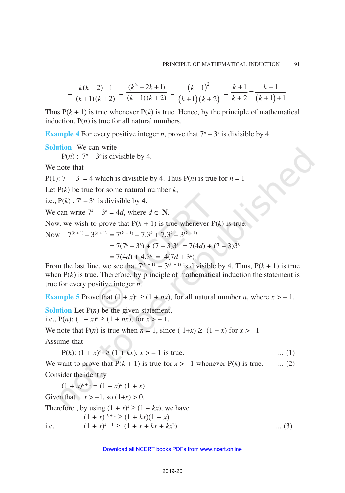$$
= \frac{k(k+2)+1}{(k+1)(k+2)} = \frac{(k^2+2k+1)}{(k+1)(k+2)} = \frac{(k+1)^2}{(k+1)(k+2)} = \frac{k+1}{k+2} = \frac{k+1}{(k+1)+1}
$$

Thus  $P(k + 1)$  is true whenever  $P(k)$  is true. Hence, by the principle of mathematical induction,  $P(n)$  is true for all natural numbers.

**Example 4** For every positive integer *n*, prove that  $7^n - 3^n$  is divisible by 4.

**Solution** We can write  $P(n)$ :  $7^n - 3^n$  is divisible by 4.

We note that

P(1):  $7^1 - 3^1 = 4$  which is divisible by 4. Thus P(*n*) is true for  $n = 1$ 

Let  $P(k)$  be true for some natural number  $k$ ,

i.e.,  $P(k): 7^k - 3^k$  is divisible by 4.

We can write  $7^k - 3^k = 4d$ , where  $d \in \mathbb{N}$ .

Now, we wish to prove that  $P(k + 1)$  is true whenever  $P(k)$  is true.

Now 
$$
7^{(k+1)} - 3^{(k+1)} = 7^{(k+1)} - 7 \cdot 3^k + 7 \cdot 3^k - 3^{(k+1)}
$$
  
=  $7(7^k - 3^k) + (7 - 3)3^k = 7(4d) + (7 - 3)3^k$   
=  $7(4d) + 4 \cdot 3^k = 4(7d + 3^k)$ 

From the last line, we see that  $7^{(k+1)} - 3^{(k+1)}$  is divisible by 4. Thus,  $P(k + 1)$  is true when  $P(k)$  is true. Therefore, by principle of mathematical induction the statement is true for every positive integer *n*.

**Example 5** Prove that  $(1 + x)^n \ge (1 + nx)$ , for all natural number *n*, where  $x > -1$ .

**Solution** Let  $P(n)$  be the given statement,

i.e.,  $P(n)$ :  $(1 + x)^n \ge (1 + nx)$ , for  $x > -1$ .

We note that  $P(n)$  is true when  $n = 1$ , since  $(1+x) \ge (1+x)$  for  $x > -1$ 

Assume that

$$
P(k): (1 + x)^k \ge (1 + kx), x > -1 \text{ is true.}
$$
 ... (1)

We want to prove that  $P(k + 1)$  is true for  $x > -1$  whenever  $P(k)$  is true. ... (2) Consider the identity

 $(1 + x)^{k+1} = (1 + x)^k (1 + x)$ Given that  $x > -1$ , so  $(1+x) > 0$ . Therefore , by using  $(1 + x)^k \ge (1 + kx)$ , we have  $(1 + x)^{k+1} \ge (1 + kx)(1 + x)$ i.e.  $(1 + x)^{k+1} \ge (1 + x + kx + kx^2)$ ). ... (3)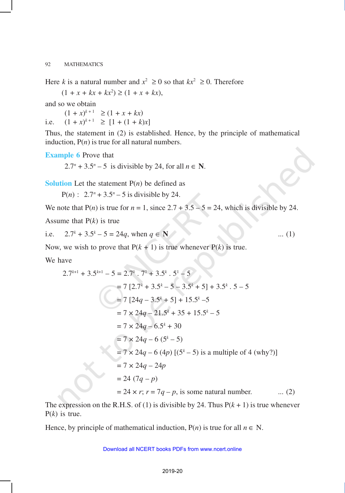Here *k* is a natural number and  $x^2 \ge 0$  so that  $kx^2 \ge 0$ . Therefore

 $(1 + x + kx + kx^2) \ge (1 + x + kx),$ 

and so we obtain

 $(1 + x)^{k+1} \ge (1 + x + kx)$ i.e.  $(1 + x)^{k+1} \geq [1 + (1 + k)x]$ 

Thus, the statement in (2) is established. Hence, by the principle of mathematical induction,  $P(n)$  is true for all natural numbers.

**Example 6** Prove that

2.7<sup>*n*</sup> + 3.5<sup>*n*</sup> – 5 is divisible by 24, for all  $n \in \mathbb{N}$ .

**Solution** Let the statement  $P(n)$  be defined as

 $P(n)$ :  $2.7^n + 3.5^n - 5$  is divisible by 24.

We note that  $P(n)$  is true for  $n = 1$ , since  $2.7 + 3.5 - 5 = 24$ , which is divisible by 24.

Assume that P(*k*) is true

i.e.  $2.7^k + 3.5^k - 5 = 24q$ , when  $q \in \mathbb{N}$  ... (1)

Now, we wish to prove that  $P(k + 1)$  is true whenever  $P(k)$  is true.

We have

$$
2.7^{k+1} + 3.5^{k+1} - 5 = 2.7^k \cdot 7^1 + 3.5^k \cdot 5^1 - 5
$$
  
= 7 [2.7<sup>k</sup> + 3.5<sup>k</sup> - 5 - 3.5<sup>k</sup> + 5] + 3.5<sup>k</sup> \cdot 5 - 5  
= 7 [24q - 3.5<sup>k</sup> + 5] + 15.5<sup>k</sup> - 5  
= 7 \times 24q - 21.5<sup>k</sup> + 35 + 15.5<sup>k</sup> - 5  
= 7 \times 24q - 6.5<sup>k</sup> + 30  
= 7 \times 24q - 6 (5<sup>k</sup> - 5)  
= 7 \times 24q - 6 (4p) [(5<sup>k</sup> - 5) is a multiple of 4 (why?)]  
= 7 \times 24q - 24p  
= 24 (7q - p)  
= 24 \times r; r = 7q - p, is some natural number. ... (2)

The expression on the R.H.S. of (1) is divisible by 24. Thus  $P(k + 1)$  is true whenever P(*k*) is true.

Hence, by principle of mathematical induction,  $P(n)$  is true for all  $n \in N$ .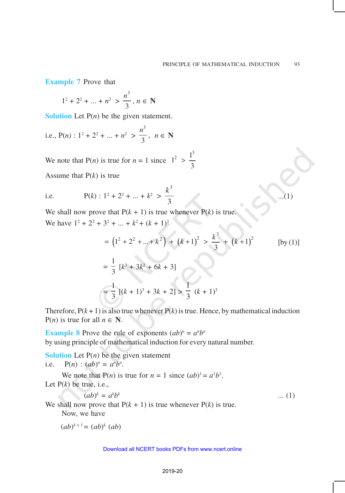...(1)

**Example 7** Prove that

$$
1^2 + 2^2 + \dots + n^2 > \frac{n^3}{3}, n \in \mathbb{N}
$$

**Solution** Let P(*n*) be the given statement.

i.e., 
$$
P(n): 1^2 + 2^2 + ... + n^2 > \frac{n^3}{3}, n \in \mathbb{N}
$$

We note that  $P(n)$  is true for  $n = 1$  since  $1^2 > \frac{1^3}{3}$ 3 >

Assume that P(*k*) is true

i.e. 
$$
P(k): 1^2 + 2^2 + ... + k^2 > \frac{k^3}{3}
$$

We shall now prove that  $P(k + 1)$  is true whenever  $P(k)$  is true. We have  $1^2 + 2^2 + 3^2 + \dots + k^2 + (k+1)^2$ 

$$
= (12 + 22 + ... + k2) + (k+1)2 > \frac{k3}{3} + (k+1)2
$$
 [by (1)]

$$
= \frac{1}{3} [k^3 + 3k^2 + 6k + 3]
$$
  
=  $\frac{1}{3} [(k+1)^3 + 3k + 2] > \frac{1}{3} (k+1)^3$ 

Therefore,  $P(k + 1)$  is also true whenever  $P(k)$  is true. Hence, by mathematical induction  $P(n)$  is true for all  $n \in \mathbb{N}$ .

**Example 8** Prove the rule of exponents  $(ab)^n = a^n b^n$ by using principle of mathematical induction for every natural number.

**Solution** Let  $P(n)$  be the given statement i.e.  $P(n) : (ab)^n = a^n b^n$ .

We note that  $P(n)$  is true for  $n = 1$  since  $(ab)^1 = a^1b^1$ . Let  $P(k)$  be true, i.e.,

$$
(ab)^k = a^k b^k \tag{1}
$$

We shall now prove that  $P(k + 1)$  is true whenever  $P(k)$  is true. Now, we have

 $(ab)^{k+1} = (ab)^k (ab)$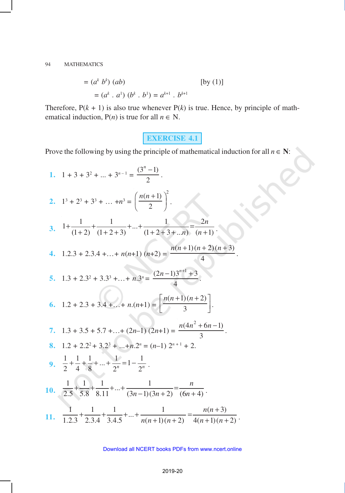$$
= (ak bk) (ab)
$$
 [by (1)]  

$$
= (ak . a1) (bk . b1) = ak+1 . bk+1
$$

Therefore,  $P(k + 1)$  is also true whenever  $P(k)$  is true. Hence, by principle of mathematical induction,  $P(n)$  is true for all  $n \in N$ .

# **EXERCISE 4.1**

 $\overline{a}$ 

Prove the following by using the principle of mathematical induction for all  $n \in \mathbb{N}$ :

1. 
$$
1 + 3 + 3^2 + ... + 3^{n-1} = \frac{(3^n - 1)}{2}
$$
.  
\n2.  $1^3 + 2^3 + 3^3 + ... + n^3 = \left(\frac{n(n+1)}{2}\right)^2$ .  
\n3.  $1 + \frac{1}{(1+2)} + \frac{1}{(1+2+3)} + ... + \frac{1}{(1+2+3+...n)} = \frac{2n}{(n+1)}$ .  
\n4.  $1.2.3 + 2.3.4 + ... + n(n+1)(n+2) = \frac{n(n+1)(n+2)(n+3)}{4}$ .  
\n5.  $1.3 + 2.3^2 + 3.3^3 + ... + n.3^n = \frac{(2n-1)3^{n+1} + 3}{4}$ .  
\n6.  $1.2 + 2.3 + 3.4 + ... + n.(n+1) = \left[\frac{n(n+1)(n+2)}{3}\right]$ .  
\n7.  $1.3 + 3.5 + 5.7 + ... + (2n-1)(2n+1) = \frac{n(4n^2 + 6n - 1)}{3}$ .  
\n8.  $1.2 + 2.2^2 + 3.2^3 + ... + n.2^n = (n-1) 2^{n+1} + 2$ .  
\n9.  $\frac{1}{2} + \frac{1}{4} + \frac{1}{8} + ... + \frac{1}{2^n} = 1 - \frac{1}{2^n}$ .  
\n10.  $\frac{1}{2.5} + \frac{1}{5.8} + \frac{1}{8.11} + ... + \frac{1}{(3n-1)(3n+2)} = \frac{n}{(6n+4)}$ .  
\n11.  $\frac{1}{1.2.3} + \frac{1}{2.3.4} + \frac{1}{3.4.5} + ... + \frac{1}{n(n+1)(n+2)} = \frac{n(n+3)}{4(n+1)(n+2)}$ .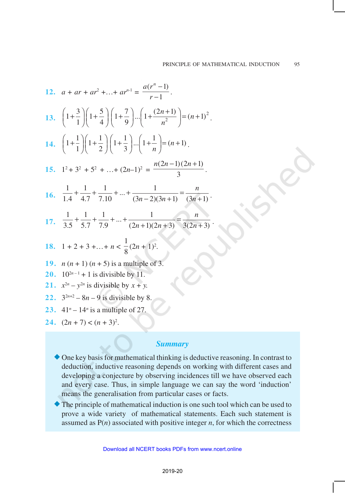12. 
$$
a + ar + ar^2 + ... + ar^{n-1} = \frac{a(r^n - 1)}{r - 1}
$$
.  
\n13.  $\left(1 + \frac{3}{1}\right)\left(1 + \frac{5}{4}\right)\left(1 + \frac{7}{9}\right)...\left(1 + \frac{(2n + 1)}{n^2}\right) = (n + 1)^2$ .  
\n14.  $\left(1 + \frac{1}{1}\right)\left(1 + \frac{1}{2}\right)\left(1 + \frac{1}{3}\right)...\left(1 + \frac{1}{n}\right) = (n + 1)$ .  
\n15.  $1^2 + 3^2 + 5^2 + ... + (2n - 1)^2 = \frac{n(2n - 1)(2n + 1)}{3}$ .  
\n16.  $\frac{1}{1.4} + \frac{1}{4.7} + \frac{1}{7.10} + ... + \frac{1}{(3n - 2)(3n + 1)} = \frac{n}{(3n + 1)}$ .  
\n17.  $\frac{1}{3.5} + \frac{1}{5.7} + \frac{1}{7.9} + ... + \frac{1}{(2n + 1)(2n + 3)} = \frac{n}{3(2n + 3)}$ .  
\n18.  $1 + 2 + 3 + ... + n < \frac{1}{8}(2n + 1)^2$ .  
\n19.  $n(n + 1)(n + 5)$  is a multiple of 3.  
\n20.  $10^{2n-1} + 1$  is divisible by 11.  
\n21.  $x^{2n} - y^{2n}$  is divisible by  $x + y$ .  
\n22.  $3^{2n+2} - 8n - 9$  is divisible by 8.  
\n23.  $41^n - 14^n$  is a multiple of 27.

24.  $(2n + 7) < (n + 3)^2$ .

### *Summary*

- One key basis for mathematical thinking is deductive reasoning. In contrast to deduction, inductive reasoning depends on working with different cases and developing a conjecture by observing incidences till we have observed each and every case. Thus, in simple language we can say the word 'induction' means the generalisation from particular cases or facts.
- The principle of mathematical induction is one such tool which can be used to prove a wide variety of mathematical statements. Each such statement is assumed as  $P(n)$  associated with positive integer *n*, for which the correctness